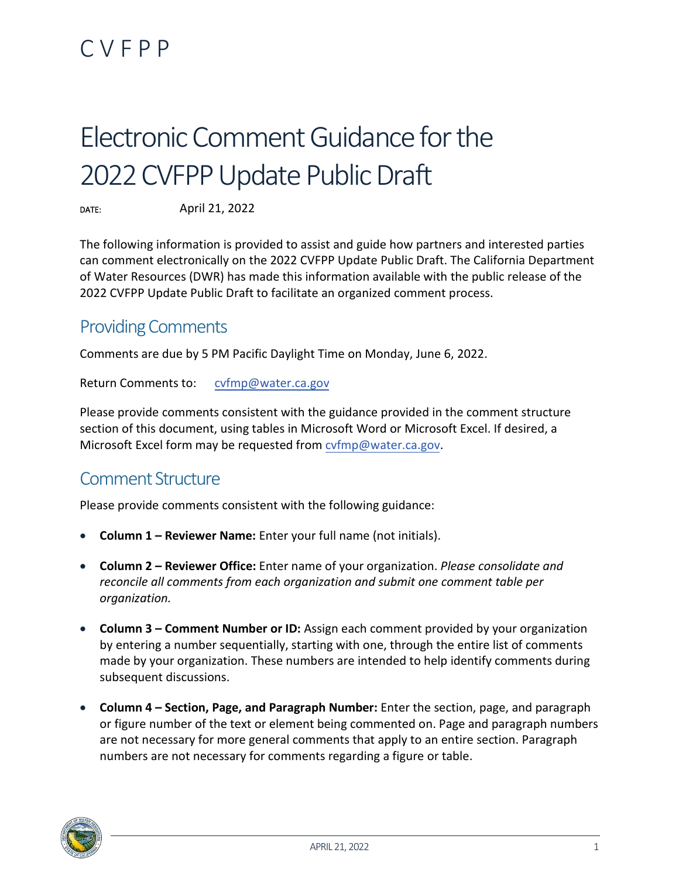## CVFPP

# Electronic Comment Guidance for the 2022CVFPP Update Public Draft

DATE: April 21, 2022

The following information is provided to assist and guide how partners and interested parties can comment electronically on the 2022 CVFPP Update Public Draft. The California Department of Water Resources (DWR) has made this information available with the public release of the 2022 CVFPP Update Public Draft to facilitate an organized comment process.

## Providing Comments

Comments are due by 5 PM Pacific Daylight Time on Monday, June 6, 2022.

Return Comments to: [cvfmp@water.ca.gov](mailto:cvfmp@water.ca.gov)

Please provide comments consistent with the guidance provided in the comment structure section of this document, using tables in Microsoft Word or Microsoft Excel. If desired, a Microsoft Excel form may be requested from [cvfmp@water.ca.gov.](mailto:cvfmp@water.ca.gov)

## Comment Structure

Please provide comments consistent with the following guidance:

- **Column 1 Reviewer Name:** Enter your full name (not initials).
- **Column 2 Reviewer Office:** Enter name of your organization. *Please consolidate and reconcile all comments from each organization and submit one comment table per organization.*
- **Column 3 Comment Number or ID:** Assign each comment provided by your organization by entering a number sequentially, starting with one, through the entire list of comments made by your organization. These numbers are intended to help identify comments during subsequent discussions.
- **Column 4 Section, Page, and Paragraph Number:** Enter the section, page, and paragraph or figure number of the text or element being commented on. Page and paragraph numbers are not necessary for more general comments that apply to an entire section. Paragraph numbers are not necessary for comments regarding a figure or table.